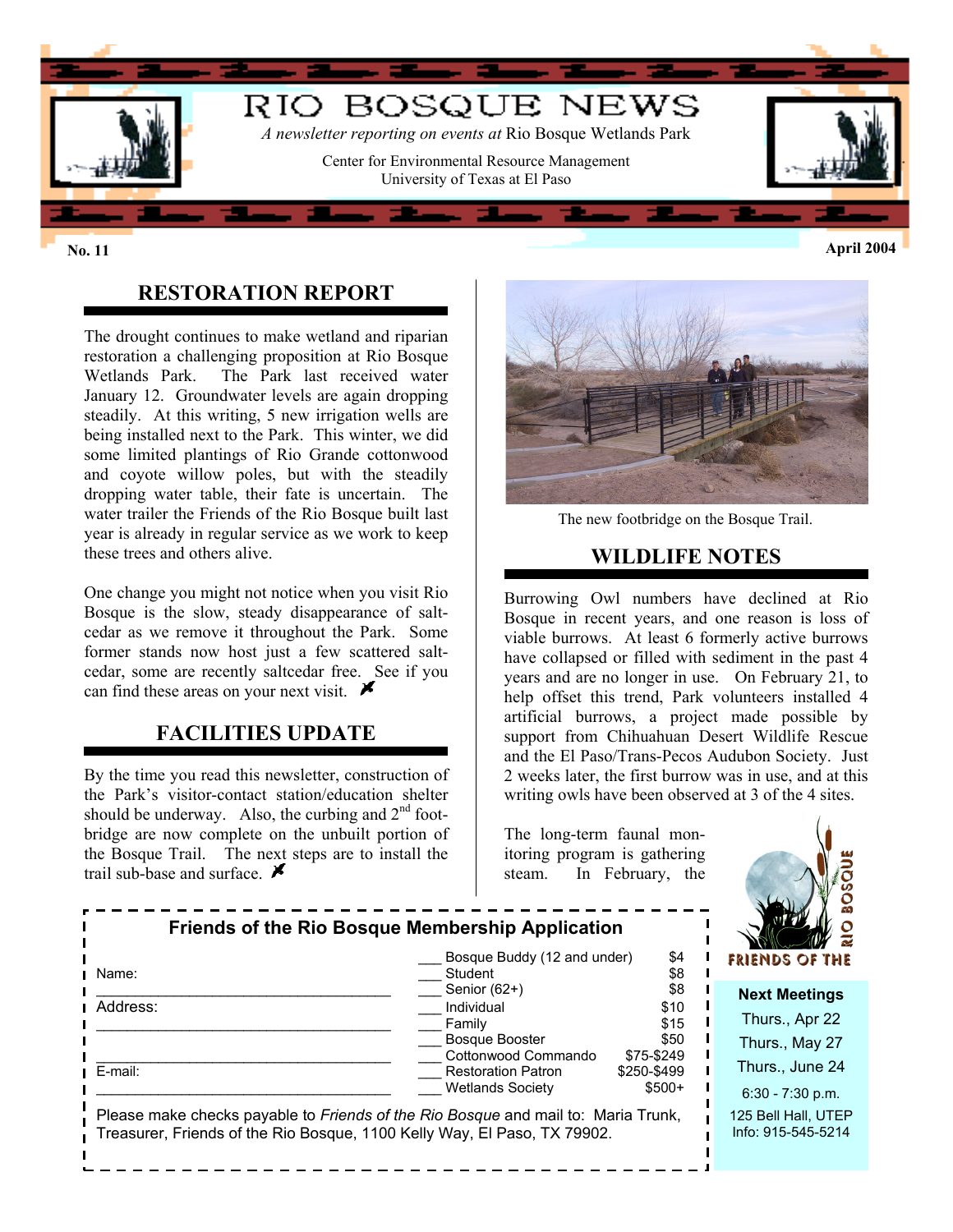

### **RESTORATION REPORT**

The drought continues to make wetland and riparian restoration a challenging proposition at Rio Bosque Wetlands Park. The Park last received water January 12. Groundwater levels are again dropping steadily. At this writing, 5 new irrigation wells are being installed next to the Park. This winter, we did some limited plantings of Rio Grande cottonwood and coyote willow poles, but with the steadily dropping water table, their fate is uncertain. The water trailer the Friends of the Rio Bosque built last year is already in regular service as we work to keep these trees and others alive.

One change you might not notice when you visit Rio Bosque is the slow, steady disappearance of saltcedar as we remove it throughout the Park. Some former stands now host just a few scattered saltcedar, some are recently saltcedar free. See if you can find these areas on your next visit.  $\blacktriangleright$ 

### **FACILITIES UPDATE**

By the time you read this newsletter, construction of the Park's visitor-contact station/education shelter should be underway. Also, the curbing and  $2<sup>nd</sup>$  footbridge are now complete on the unbuilt portion of the Bosque Trail. The next steps are to install the trail sub-base and surface.  $\blacktriangleright$ 



The new footbridge on the Bosque Trail.

#### **WILDLIFE NOTES**

Burrowing Owl numbers have declined at Rio Bosque in recent years, and one reason is loss of viable burrows. At least 6 formerly active burrows have collapsed or filled with sediment in the past 4 years and are no longer in use. On February 21, to help offset this trend, Park volunteers installed 4 artificial burrows, a project made possible by support from Chihuahuan Desert Wildlife Rescue and the El Paso/Trans-Pecos Audubon Society. Just 2 weeks later, the first burrow was in use, and at this writing owls have been observed at 3 of the 4 sites.

The long-term faunal monitoring program is gathering steam. In February, the



| <b>Friends of the Rio Bosque Membership Application</b>                                                                                                       | Bosque Buddy (12 and under)<br>\$4<br>FRIENDS OF THE                                                                    |
|---------------------------------------------------------------------------------------------------------------------------------------------------------------|-------------------------------------------------------------------------------------------------------------------------|
| Student<br>Name:                                                                                                                                              | \$8                                                                                                                     |
| Senior (62+)<br>Address:<br>Individual                                                                                                                        | \$8<br><b>Next Meetings</b><br>\$10<br>Thurs., Apr 22                                                                   |
| Family<br><b>Bosque Booster</b>                                                                                                                               | \$15<br>\$50<br>Thurs., May 27<br>Cottonwood Commando<br>\$75-\$249                                                     |
| E-mail:                                                                                                                                                       | Thurs., June 24<br><b>Restoration Patron</b><br>\$250-\$499<br>$$500+$<br><b>Wetlands Society</b><br>$6:30 - 7:30$ p.m. |
| Please make checks payable to Friends of the Rio Bosque and mail to: Maria Trunk,<br>Treasurer, Friends of the Rio Bosque, 1100 Kelly Way, El Paso, TX 79902. | 125 Bell Hall, UTEP<br>Info: 915-545-5214                                                                               |

**No. 11 April 2004**